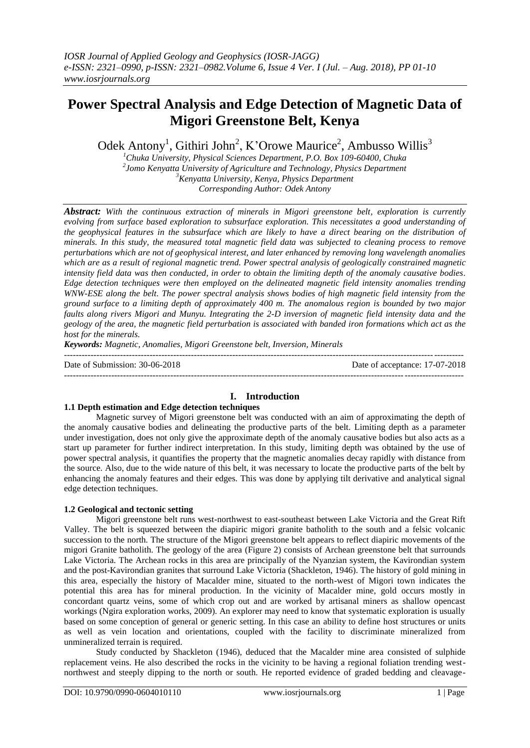# **Power Spectral Analysis and Edge Detection of Magnetic Data of Migori Greenstone Belt, Kenya**

Odek Antony<sup>1</sup>, Githiri John<sup>2</sup>, K'Orowe Maurice<sup>2</sup>, Ambusso Willis<sup>3</sup>

*Chuka University, Physical Sciences Department, P.O. Box 109-60400, Chuka Jomo Kenyatta University of Agriculture and Technology, Physics Department Kenyatta University, Kenya, Physics Department Corresponding Author: Odek Antony*

*Abstract: With the continuous extraction of minerals in Migori greenstone belt, exploration is currently evolving from surface based exploration to subsurface exploration. This necessitates a good understanding of the geophysical features in the subsurface which are likely to have a direct bearing on the distribution of minerals. In this study, the measured total magnetic field data was subjected to cleaning process to remove perturbations which are not of geophysical interest, and later enhanced by removing long wavelength anomalies which are as a result of regional magnetic trend. Power spectral analysis of geologically constrained magnetic intensity field data was then conducted, in order to obtain the limiting depth of the anomaly causative bodies. Edge detection techniques were then employed on the delineated magnetic field intensity anomalies trending WNW-ESE along the belt. The power spectral analysis shows bodies of high magnetic field intensity from the ground surface to a limiting depth of approximately 400 m. The anomalous region is bounded by two major faults along rivers Migori and Munyu. Integrating the 2-D inversion of magnetic field intensity data and the geology of the area, the magnetic field perturbation is associated with banded iron formations which act as the host for the minerals.*

*Keywords: Magnetic, Anomalies, Migori Greenstone belt, Inversion, Minerals* ---------------------------------------------------------------------------------------------------------------------------------------

Date of Submission: 30-06-2018 Date of acceptance: 17-07-2018

---------------------------------------------------------------------------------------------------------------------------------------

## **I. Introduction**

#### **1.1 Depth estimation and Edge detection techniques**

Magnetic survey of Migori greenstone belt was conducted with an aim of approximating the depth of the anomaly causative bodies and delineating the productive parts of the belt. Limiting depth as a parameter under investigation, does not only give the approximate depth of the anomaly causative bodies but also acts as a start up parameter for further indirect interpretation. In this study, limiting depth was obtained by the use of power spectral analysis, it quantifies the property that the magnetic anomalies decay rapidly with distance from the source. Also, due to the wide nature of this belt, it was necessary to locate the productive parts of the belt by enhancing the anomaly features and their edges. This was done by applying tilt derivative and analytical signal edge detection techniques.

## **1.2 Geological and tectonic setting**

Migori greenstone belt runs west-northwest to east-southeast between Lake Victoria and the Great Rift Valley. The belt is squeezed between the diapiric migori granite batholith to the south and a felsic volcanic succession to the north. The structure of the Migori greenstone belt appears to reflect diapiric movements of the migori Granite batholith. The geology of the area (Figure 2) consists of Archean greenstone belt that surrounds Lake Victoria. The Archean rocks in this area are principally of the Nyanzian system, the Kavirondian system and the post-Kavirondian granites that surround Lake Victoria (Shackleton, 1946). The history of gold mining in this area, especially the history of Macalder mine, situated to the north-west of Migori town indicates the potential this area has for mineral production. In the vicinity of Macalder mine, gold occurs mostly in concordant quartz veins, some of which crop out and are worked by artisanal miners as shallow opencast workings (Ngira exploration works, 2009). An explorer may need to know that systematic exploration is usually based on some conception of general or generic setting. In this case an ability to define host structures or units as well as vein location and orientations, coupled with the facility to discriminate mineralized from unmineralized terrain is required.

Study conducted by Shackleton (1946), deduced that the Macalder mine area consisted of sulphide replacement veins. He also described the rocks in the vicinity to be having a regional foliation trending westnorthwest and steeply dipping to the north or south. He reported evidence of graded bedding and cleavage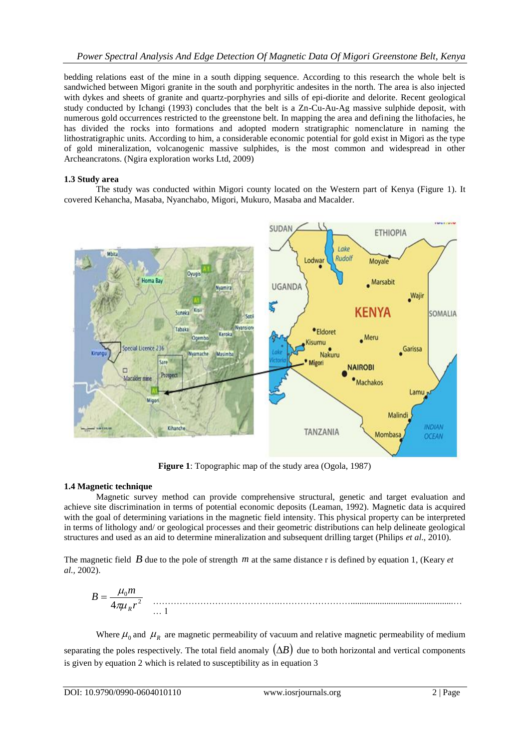bedding relations east of the mine in a south dipping sequence. According to this research the whole belt is sandwiched between Migori granite in the south and porphyritic andesites in the north. The area is also injected with dykes and sheets of granite and quartz-porphyries and sills of epi-diorite and delorite. Recent geological study conducted by Ichangi (1993) concludes that the belt is a Zn-Cu-Au-Ag massive sulphide deposit, with numerous gold occurrences restricted to the greenstone belt. In mapping the area and defining the lithofacies, he has divided the rocks into formations and adopted modern stratigraphic nomenclature in naming the lithostratigraphic units. According to him, a considerable economic potential for gold exist in Migori as the type of gold mineralization, volcanogenic massive sulphides, is the most common and widespread in other Archeancratons. (Ngira exploration works Ltd, 2009)

#### **1.3 Study area**

The study was conducted within Migori county located on the Western part of Kenya (Figure 1). It covered Kehancha, Masaba, Nyanchabo, Migori, Mukuro, Masaba and Macalder.



**Figure 1**: Topographic map of the study area (Ogola, 1987)

## **1.4 Magnetic technique**

Magnetic survey method can provide comprehensive structural, genetic and target evaluation and achieve site discrimination in terms of potential economic deposits (Leaman, 1992). Magnetic data is acquired with the goal of determining variations in the magnetic field intensity. This physical property can be interpreted in terms of lithology and/ or geological processes and their geometric distributions can help delineate geological structures and used as an aid to determine mineralization and subsequent drilling target (Philips *et al*., 2010).

The magnetic field  $\hat{B}$  due to the pole of strength  $m$  at the same distance r is defined by equation 1, (Keary  $et$ *al.,* 2002).

$$
B = \frac{\mu_0 m}{4\pi \mu_R r^2}
$$

Where  $\mu_0$  and  $\mu_R$  are magnetic permeability of vacuum and relative magnetic permeability of medium separating the poles respectively. The total field anomaly  $(\Delta B)$  due to both horizontal and vertical components is given by equation 2 which is related to susceptibility as in equation 3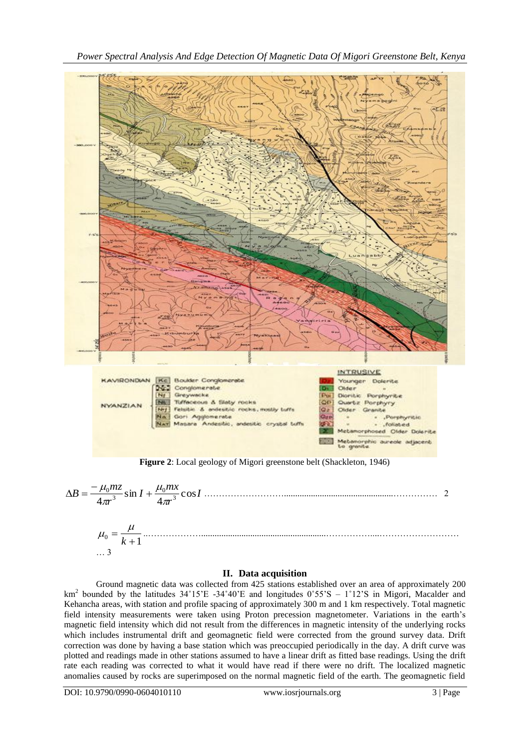

$$
\Delta B = \frac{-\mu_0 m z}{4\pi r^3} \sin I + \frac{\mu_0 m x}{4\pi r^3} \cos I
$$

#### **II. Data acquisition**

Ground magnetic data was collected from 425 stations established over an area of approximately 200 km<sup>2</sup> bounded by the latitudes  $34^{\circ}15^{\circ}E - 34^{\circ}40^{\circ}E$  and longitudes  $0^{\circ}55^{\circ}S - 1^{\circ}12^{\circ}S$  in Migori, Macalder and Kehancha areas, with station and profile spacing of approximately 300 m and 1 km respectively. Total magnetic field intensity measurements were taken using Proton precession magnetometer. Variations in the earth's magnetic field intensity which did not result from the differences in magnetic intensity of the underlying rocks which includes instrumental drift and geomagnetic field were corrected from the ground survey data. Drift correction was done by having a base station which was preoccupied periodically in the day. A drift curve was plotted and readings made in other stations assumed to have a linear drift as fitted base readings. Using the drift rate each reading was corrected to what it would have read if there were no drift. The localized magnetic anomalies caused by rocks are superimposed on the normal magnetic field of the earth. The geomagnetic field

DOI: 10.9790/0990-0604010110 www.iosrjournals.org 3 | Page

… 3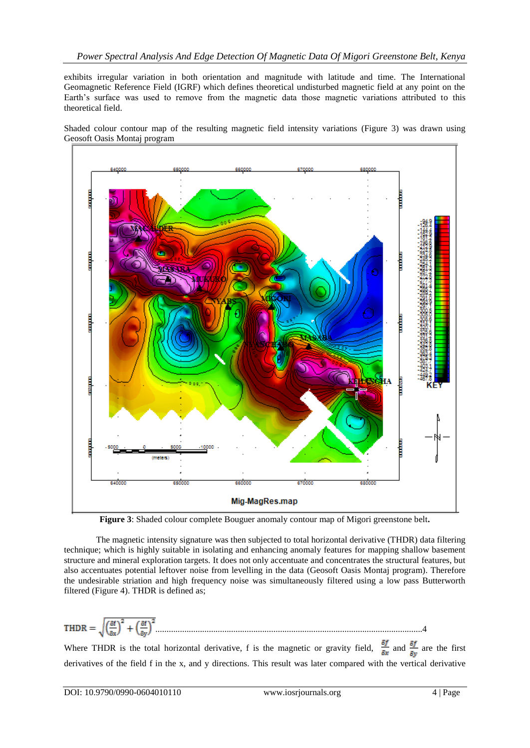exhibits irregular variation in both orientation and magnitude with latitude and time. The International Geomagnetic Reference Field (IGRF) which defines theoretical undisturbed magnetic field at any point on the Earth's surface was used to remove from the magnetic data those magnetic variations attributed to this theoretical field.

Shaded colour contour map of the resulting magnetic field intensity variations (Figure 3) was drawn using Geosoft Oasis Montaj program



**Figure 3**: Shaded colour complete Bouguer anomaly contour map of Migori greenstone belt**.**

The magnetic intensity signature was then subjected to total horizontal derivative (THDR) data filtering technique; which is highly suitable in isolating and enhancing anomaly features for mapping shallow basement structure and mineral exploration targets. It does not only accentuate and concentrates the structural features, but also accentuates potential leftover noise from levelling in the data (Geosoft Oasis Montaj program). Therefore the undesirable striation and high frequency noise was simultaneously filtered using a low pass Butterworth filtered (Figure 4). THDR is defined as;

**THEN** = 
$$
\sqrt{\left(\frac{\delta f}{\delta x}\right)^2 + \left(\frac{\delta f}{\delta y}\right)^2}
$$
.................  
Where THDR is the total horizontal derivative, f is the magnetic or gravity field,  $\frac{\delta f}{\delta x}$  and  $\frac{\delta f}{\delta y}$  are the first derivatives of the field f in the x, and y directions. This result was later compared with the vertical derivative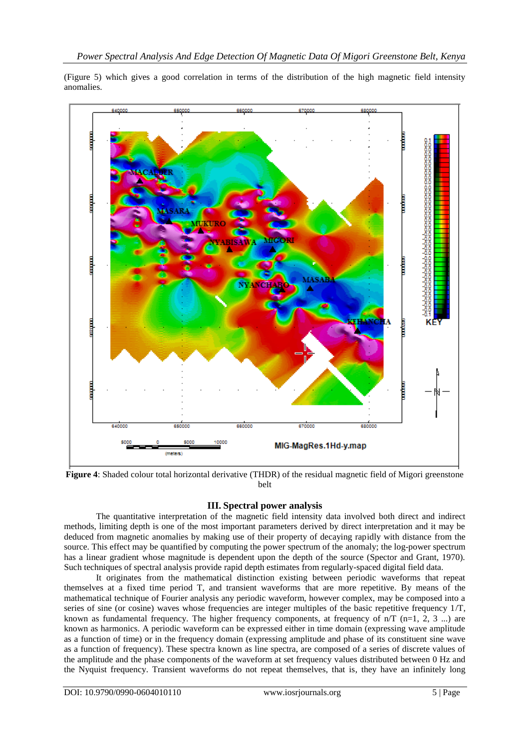(Figure 5) which gives a good correlation in terms of the distribution of the high magnetic field intensity anomalies.



**Figure 4**: Shaded colour total horizontal derivative (THDR) of the residual magnetic field of Migori greenstone belt

## **III. Spectral power analysis**

The quantitative interpretation of the magnetic field intensity data involved both direct and indirect methods, limiting depth is one of the most important parameters derived by direct interpretation and it may be deduced from magnetic anomalies by making use of their property of decaying rapidly with distance from the source. This effect may be quantified by computing the power spectrum of the anomaly; the log-power spectrum has a linear gradient whose magnitude is dependent upon the depth of the source (Spector and Grant, 1970). Such techniques of spectral analysis provide rapid depth estimates from regularly-spaced digital field data.

It originates from the mathematical distinction existing between periodic waveforms that repeat themselves at a fixed time period T, and transient waveforms that are more repetitive. By means of the mathematical technique of Fourier analysis any periodic waveform, however complex, may be composed into a series of sine (or cosine) waves whose frequencies are integer multiples of the basic repetitive frequency 1/T, known as fundamental frequency. The higher frequency components, at frequency of  $n/T$  (n=1, 2, 3 ...) are known as harmonics. A periodic waveform can be expressed either in time domain (expressing wave amplitude as a function of time) or in the frequency domain (expressing amplitude and phase of its constituent sine wave as a function of frequency). These spectra known as line spectra, are composed of a series of discrete values of the amplitude and the phase components of the waveform at set frequency values distributed between 0 Hz and the Nyquist frequency. Transient waveforms do not repeat themselves, that is, they have an infinitely long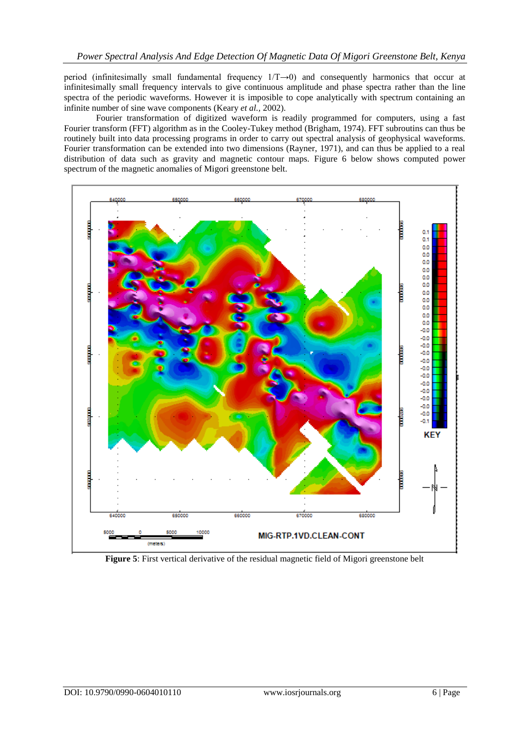period (infinitesimally small fundamental frequency 1/T→0) and consequently harmonics that occur at infinitesimally small frequency intervals to give continuous amplitude and phase spectra rather than the line spectra of the periodic waveforms. However it is imposible to cope analytically with spectrum containing an infinite number of sine wave components (Keary *et al.,* 2002).

Fourier transformation of digitized waveform is readily programmed for computers, using a fast Fourier transform (FFT) algorithm as in the Cooley-Tukey method (Brigham, 1974). FFT subroutins can thus be routinely built into data processing programs in order to carry out spectral analysis of geophysical waveforms. Fourier transformation can be extended into two dimensions (Rayner, 1971), and can thus be applied to a real distribution of data such as gravity and magnetic contour maps. Figure 6 below shows computed power spectrum of the magnetic anomalies of Migori greenstone belt.



**Figure 5**: First vertical derivative of the residual magnetic field of Migori greenstone belt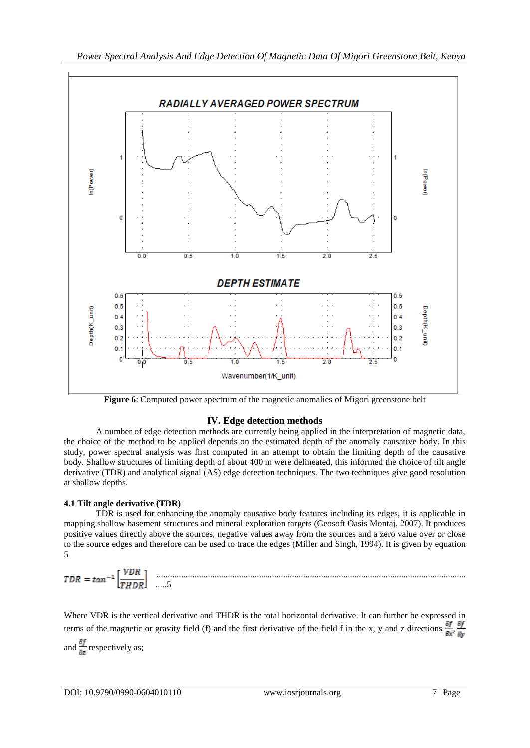

**Figure 6**: Computed power spectrum of the magnetic anomalies of Migori greenstone belt

## **IV. Edge detection methods**

A number of edge detection methods are currently being applied in the interpretation of magnetic data, the choice of the method to be applied depends on the estimated depth of the anomaly causative body. In this study, power spectral analysis was first computed in an attempt to obtain the limiting depth of the causative body. Shallow structures of limiting depth of about 400 m were delineated, this informed the choice of tilt angle derivative (TDR) and analytical signal (AS) edge detection techniques. The two techniques give good resolution at shallow depths.

## **4.1 Tilt angle derivative (TDR)**

TDR is used for enhancing the anomaly causative body features including its edges, it is applicable in mapping shallow basement structures and mineral exploration targets (Geosoft Oasis Montaj, 2007). It produces positive values directly above the sources, negative values away from the sources and a zero value over or close to the source edges and therefore can be used to trace the edges (Miller and Singh, 1994). It is given by equation 5

........................................................................................................................................... .....5

Where VDR is the vertical derivative and THDR is the total horizontal derivative. It can further be expressed in terms of the magnetic or gravity field (f) and the first derivative of the field f in the x, y and z directions  $\frac{\delta f}{\delta x}$ ,  $\frac{\delta f}{\delta y}$ and  $\frac{\delta f}{\delta s}$  respectively as;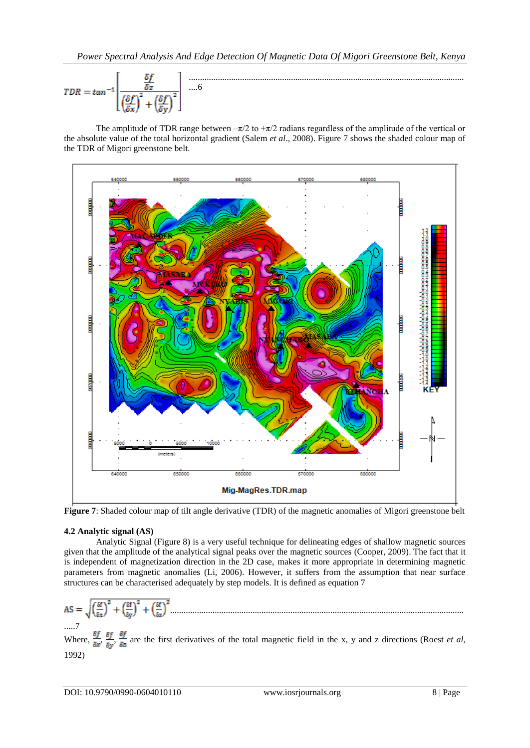$$
TDR = \tan^{-1} \left[ \frac{\frac{\delta f}{\delta z}}{\left(\frac{\delta f}{\delta x}\right)^2 + \left(\frac{\delta f}{\delta y}\right)^2} \right] \dots 6
$$

The amplitude of TDR range between  $-\pi/2$  to  $+\pi/2$  radians regardless of the amplitude of the vertical or the absolute value of the total horizontal gradient (Salem *et al*., 2008). Figure 7 shows the shaded colour map of the TDR of Migori greenstone belt.



**Figure 7**: Shaded colour map of tilt angle derivative (TDR) of the magnetic anomalies of Migori greenstone belt

## **4.2 Analytic signal (AS)**

Analytic Signal (Figure 8) is a very useful technique for delineating edges of shallow magnetic sources given that the amplitude of the analytical signal peaks over the magnetic sources (Cooper, 2009). The fact that it is independent of magnetization direction in the 2D case, makes it more appropriate in determining magnetic parameters from magnetic anomalies (Li, 2006). However, it suffers from the assumption that near surface structures can be characterised adequately by step models. It is defined as equation 7

$$
AS = \sqrt{\left(\frac{\delta f}{\delta x}\right)^2 + \left(\frac{\delta f}{\delta y}\right)^2 + \left(\frac{\delta f}{\delta z}\right)^2}.
$$

.....7 Where,  $\frac{\delta f}{\delta x}$ ,  $\frac{\delta f}{\delta y}$ ,  $\frac{\delta f}{\delta z}$  are the first derivatives of the total magnetic field in the x, y and z directions (Roest *et al.*) 1992)

....................................................................................................................................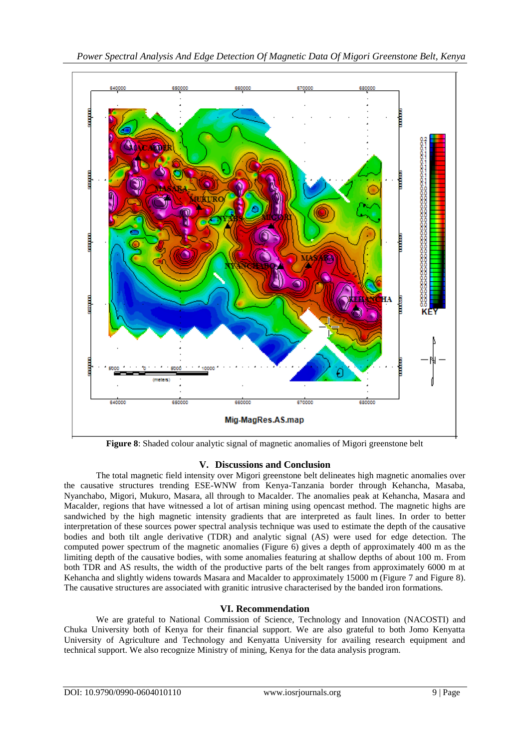

**Figure 8**: Shaded colour analytic signal of magnetic anomalies of Migori greenstone belt

# **V. Discussions and Conclusion**

The total magnetic field intensity over Migori greenstone belt delineates high magnetic anomalies over the causative structures trending ESE-WNW from Kenya-Tanzania border through Kehancha, Masaba, Nyanchabo, Migori, Mukuro, Masara, all through to Macalder. The anomalies peak at Kehancha, Masara and Macalder, regions that have witnessed a lot of artisan mining using opencast method. The magnetic highs are sandwiched by the high magnetic intensity gradients that are interpreted as fault lines. In order to better interpretation of these sources power spectral analysis technique was used to estimate the depth of the causative bodies and both tilt angle derivative (TDR) and analytic signal (AS) were used for edge detection. The computed power spectrum of the magnetic anomalies (Figure 6) gives a depth of approximately 400 m as the limiting depth of the causative bodies, with some anomalies featuring at shallow depths of about 100 m. From both TDR and AS results, the width of the productive parts of the belt ranges from approximately 6000 m at Kehancha and slightly widens towards Masara and Macalder to approximately 15000 m (Figure 7 and Figure 8). The causative structures are associated with granitic intrusive characterised by the banded iron formations.

# **VI. Recommendation**

We are grateful to National Commission of Science, Technology and Innovation (NACOSTI) and Chuka University both of Kenya for their financial support. We are also grateful to both Jomo Kenyatta University of Agriculture and Technology and Kenyatta University for availing research equipment and technical support. We also recognize Ministry of mining, Kenya for the data analysis program.